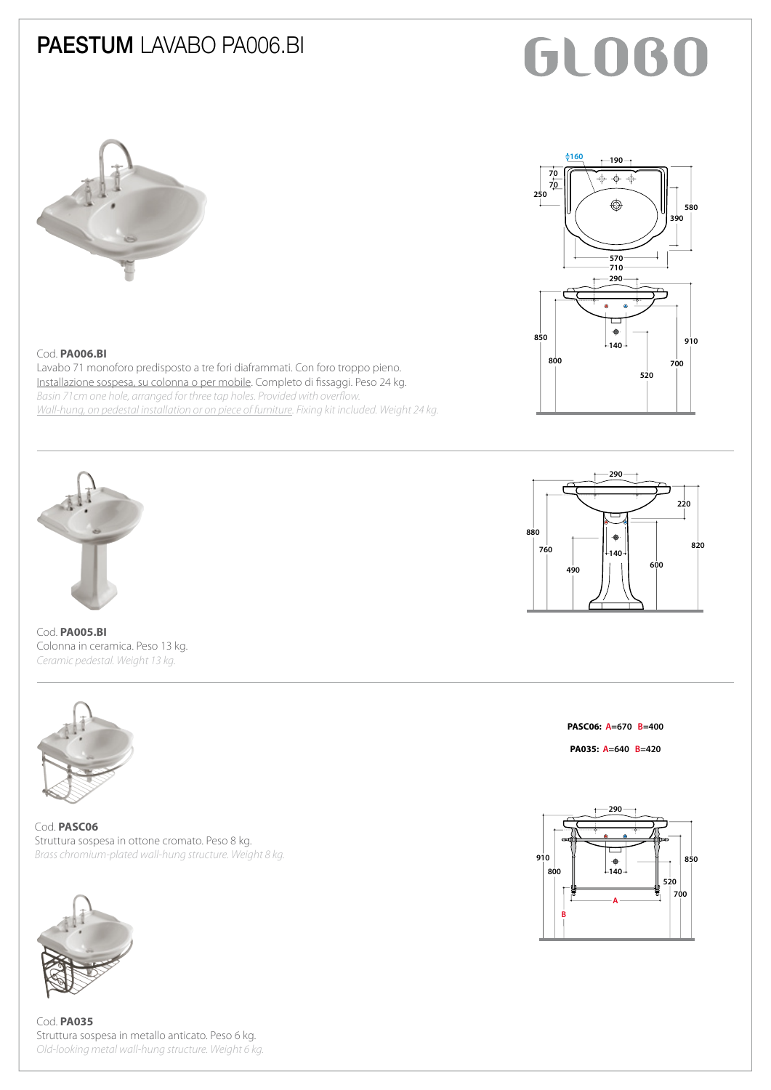### PAESTUM LAVABO PA006.BI

# **GLOBO**





#### Cod. **PA006.BI**

Lavabo 71 monoforo predisposto a tre fori diaframmati. Con foro troppo pieno. Installazione sospesa, su colonna o per mobile. Completo di fissaggi. Peso 24 kg. *Basin 71cm one hole, arranged for three tap holes. Provided with overflow. Wall-hung, on pedestal installation or on piece of furniture. Fixing kit included. Weight 24 kg.*





Cod. **PA005.BI** Colonna in ceramica. Peso 13 kg. *Ceramic pedestal. Weight 13 kg.*



Cod. **PASC06** Struttura sospesa in ottone cromato. Peso 8 kg. *Brass chromium-plated wall-hung structure. Weight 8 kg.*



Cod. **PA035** Struttura sospesa in metallo anticato. Peso 6 kg. *Old-looking metal wall-hung structure. Weight 6 kg.*

**PASC06: A=670 B=400**

**PA035: A=640 B=420**